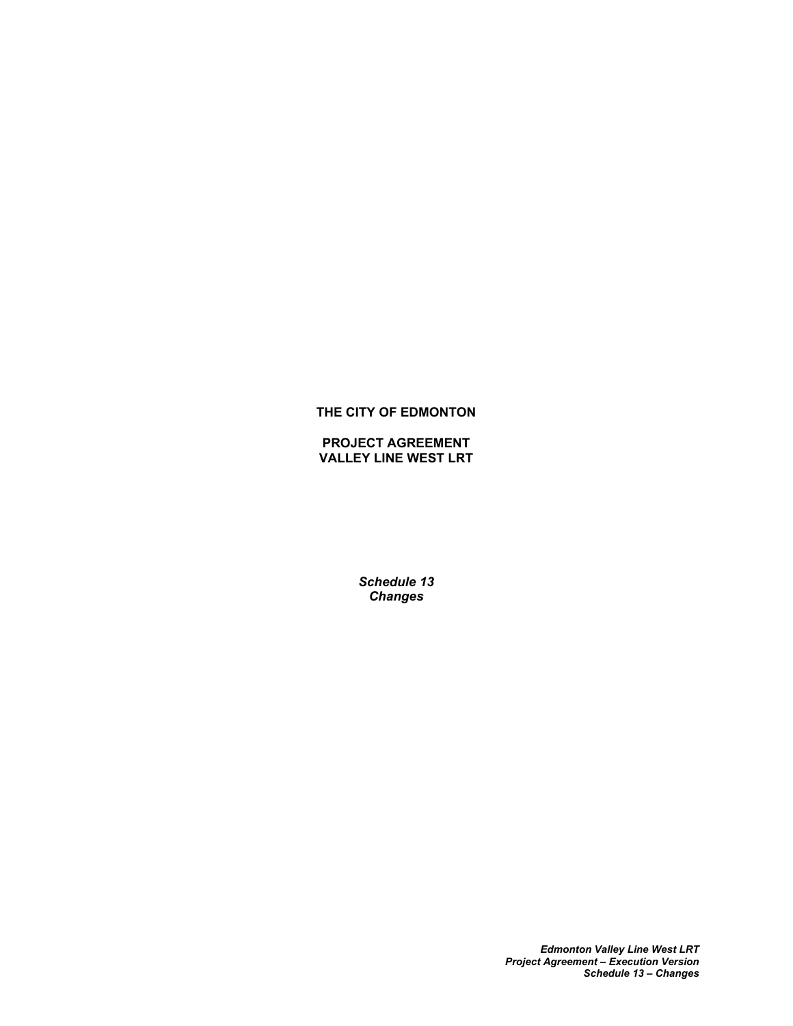# **THE CITY OF EDMONTON**

**PROJECT AGREEMENT VALLEY LINE WEST LRT**

> *Schedule 13 Changes*

> > *Edmonton Valley Line West LRT Project Agreement – Execution Version Schedule 13 – Changes*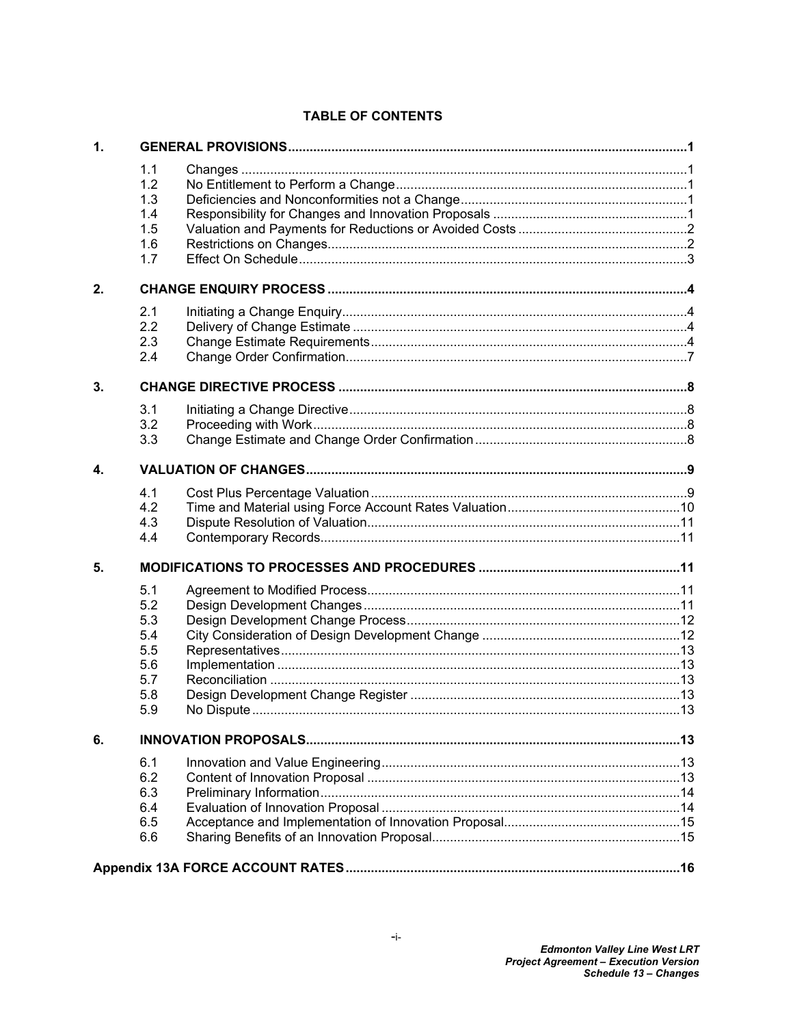# **TABLE OF CONTENTS**

| $\mathbf{1}$ |                                                             |  |  |
|--------------|-------------------------------------------------------------|--|--|
|              | 1.1<br>1.2<br>1.3<br>1.4<br>1.5<br>1.6<br>1.7               |  |  |
| 2.           |                                                             |  |  |
|              | 2.1<br>2.2<br>2.3<br>2.4                                    |  |  |
| 3.           |                                                             |  |  |
|              | 3.1<br>3.2<br>3.3                                           |  |  |
| 4.           |                                                             |  |  |
|              | 4.1<br>4.2<br>4.3<br>4.4                                    |  |  |
| 5.           |                                                             |  |  |
|              | 5.1<br>5.2<br>5.3<br>5.4<br>5.5<br>5.6<br>5.7<br>5.8<br>5.9 |  |  |
| 6.           |                                                             |  |  |
|              | 6.1<br>6.2<br>6.3<br>6.4<br>6.5<br>6.6                      |  |  |
|              |                                                             |  |  |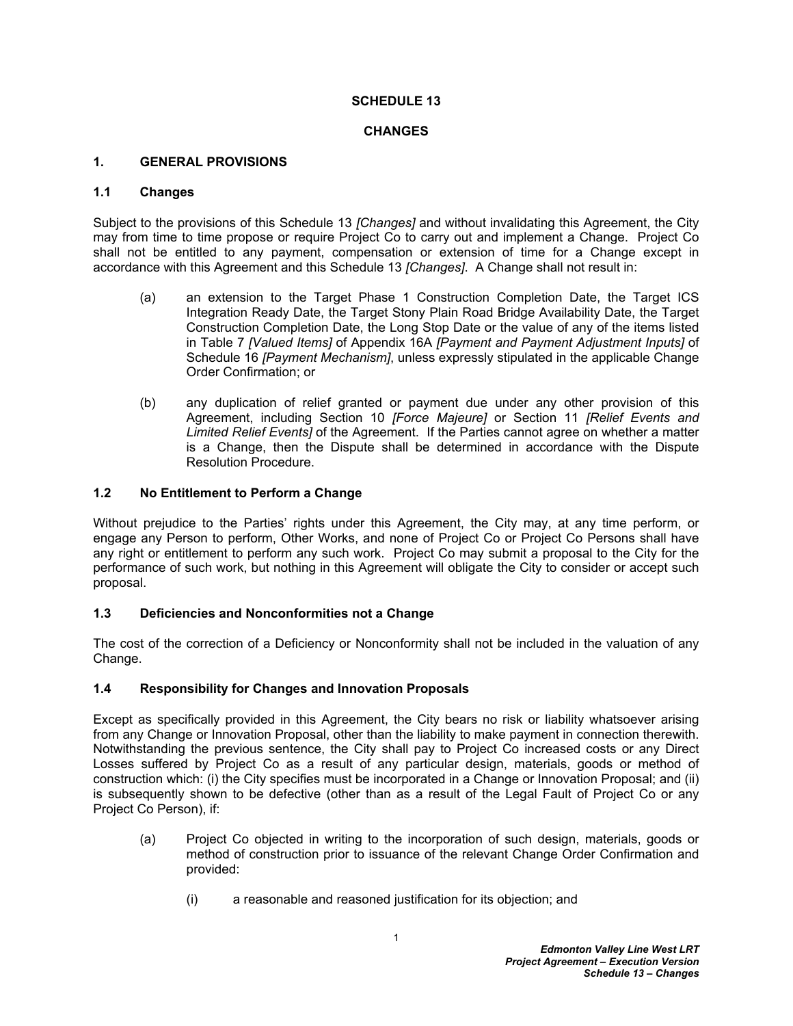### **SCHEDULE 13**

### **CHANGES**

### <span id="page-2-0"></span>**1. GENERAL PROVISIONS**

# <span id="page-2-1"></span>**1.1 Changes**

Subject to the provisions of this Schedule 13 *[Changes]* and without invalidating this Agreement, the City may from time to time propose or require Project Co to carry out and implement a Change. Project Co shall not be entitled to any payment, compensation or extension of time for a Change except in accordance with this Agreement and this Schedule 13 *[Changes]*. A Change shall not result in:

- (a) an extension to the Target Phase 1 Construction Completion Date, the Target ICS Integration Ready Date, the Target Stony Plain Road Bridge Availability Date, the Target Construction Completion Date, the Long Stop Date or the value of any of the items listed in Table 7 *[Valued Items]* of Appendix 16A *[Payment and Payment Adjustment Inputs]* of Schedule 16 *[Payment Mechanism]*, unless expressly stipulated in the applicable Change Order Confirmation; or
- (b) any duplication of relief granted or payment due under any other provision of this Agreement, including Section 10 *[Force Majeure]* or Section 11 *[Relief Events and Limited Relief Events]* of the Agreement. If the Parties cannot agree on whether a matter is a Change, then the Dispute shall be determined in accordance with the Dispute Resolution Procedure.

### <span id="page-2-2"></span>**1.2 No Entitlement to Perform a Change**

Without prejudice to the Parties' rights under this Agreement, the City may, at any time perform, or engage any Person to perform, Other Works, and none of Project Co or Project Co Persons shall have any right or entitlement to perform any such work. Project Co may submit a proposal to the City for the performance of such work, but nothing in this Agreement will obligate the City to consider or accept such proposal.

# <span id="page-2-3"></span>**1.3 Deficiencies and Nonconformities not a Change**

The cost of the correction of a Deficiency or Nonconformity shall not be included in the valuation of any Change.

#### <span id="page-2-4"></span>**1.4 Responsibility for Changes and Innovation Proposals**

Except as specifically provided in this Agreement, the City bears no risk or liability whatsoever arising from any Change or Innovation Proposal, other than the liability to make payment in connection therewith. Notwithstanding the previous sentence, the City shall pay to Project Co increased costs or any Direct Losses suffered by Project Co as a result of any particular design, materials, goods or method of construction which: (i) the City specifies must be incorporated in a Change or Innovation Proposal; and (ii) is subsequently shown to be defective (other than as a result of the Legal Fault of Project Co or any Project Co Person), if:

- (a) Project Co objected in writing to the incorporation of such design, materials, goods or method of construction prior to issuance of the relevant Change Order Confirmation and provided:
	- (i) a reasonable and reasoned justification for its objection; and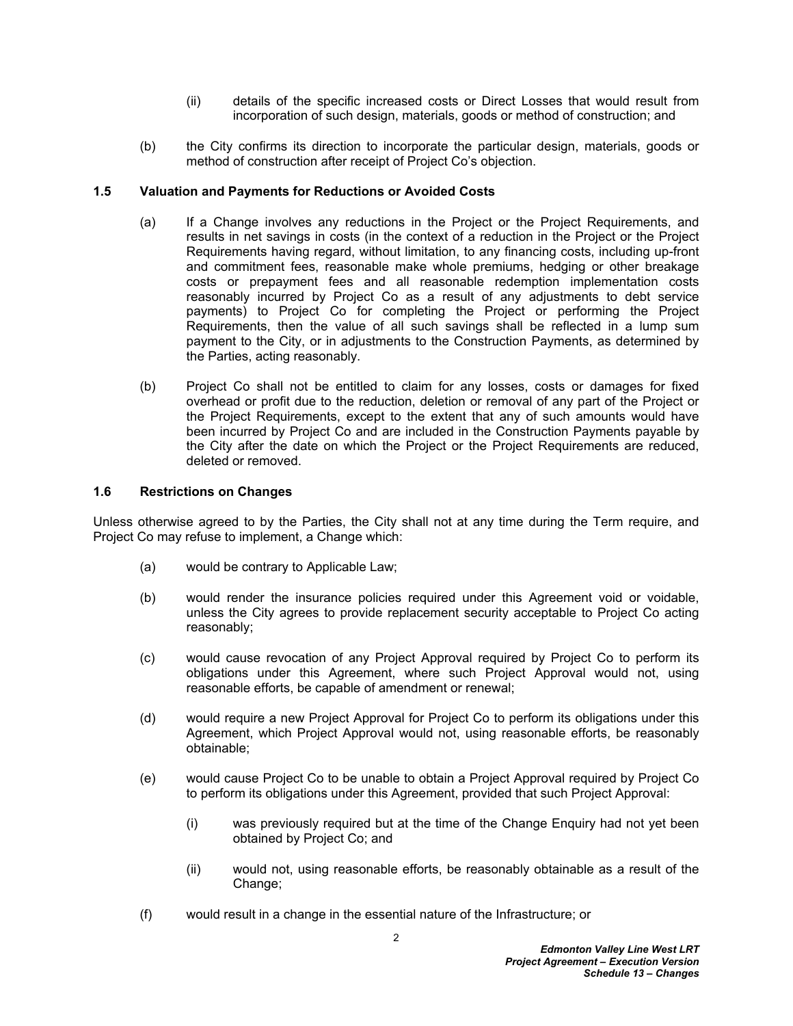- (ii) details of the specific increased costs or Direct Losses that would result from incorporation of such design, materials, goods or method of construction; and
- (b) the City confirms its direction to incorporate the particular design, materials, goods or method of construction after receipt of Project Co's objection.

### <span id="page-3-0"></span>**1.5 Valuation and Payments for Reductions or Avoided Costs**

- (a) If a Change involves any reductions in the Project or the Project Requirements, and results in net savings in costs (in the context of a reduction in the Project or the Project Requirements having regard, without limitation, to any financing costs, including up-front and commitment fees, reasonable make whole premiums, hedging or other breakage costs or prepayment fees and all reasonable redemption implementation costs reasonably incurred by Project Co as a result of any adjustments to debt service payments) to Project Co for completing the Project or performing the Project Requirements, then the value of all such savings shall be reflected in a lump sum payment to the City, or in adjustments to the Construction Payments, as determined by the Parties, acting reasonably.
- (b) Project Co shall not be entitled to claim for any losses, costs or damages for fixed overhead or profit due to the reduction, deletion or removal of any part of the Project or the Project Requirements, except to the extent that any of such amounts would have been incurred by Project Co and are included in the Construction Payments payable by the City after the date on which the Project or the Project Requirements are reduced, deleted or removed.

### <span id="page-3-1"></span>**1.6 Restrictions on Changes**

Unless otherwise agreed to by the Parties, the City shall not at any time during the Term require, and Project Co may refuse to implement, a Change which:

- (a) would be contrary to Applicable Law;
- (b) would render the insurance policies required under this Agreement void or voidable, unless the City agrees to provide replacement security acceptable to Project Co acting reasonably;
- (c) would cause revocation of any Project Approval required by Project Co to perform its obligations under this Agreement, where such Project Approval would not, using reasonable efforts, be capable of amendment or renewal;
- (d) would require a new Project Approval for Project Co to perform its obligations under this Agreement, which Project Approval would not, using reasonable efforts, be reasonably obtainable;
- (e) would cause Project Co to be unable to obtain a Project Approval required by Project Co to perform its obligations under this Agreement, provided that such Project Approval:
	- (i) was previously required but at the time of the Change Enquiry had not yet been obtained by Project Co; and
	- (ii) would not, using reasonable efforts, be reasonably obtainable as a result of the Change;
- (f) would result in a change in the essential nature of the Infrastructure; or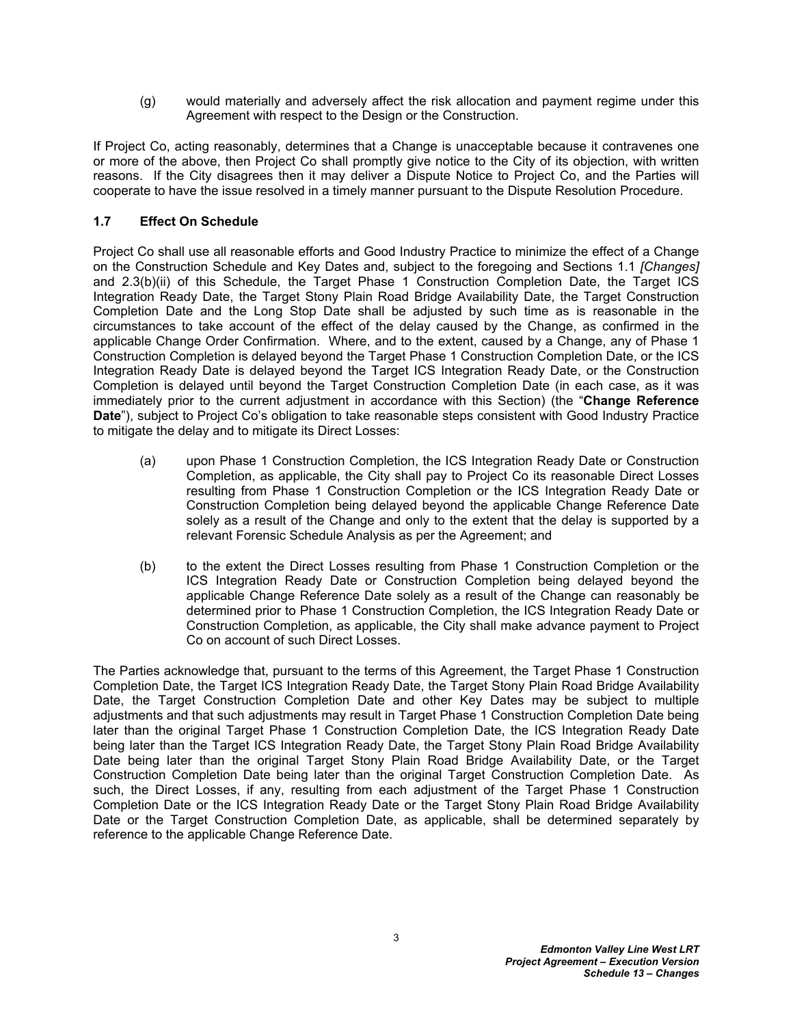(g) would materially and adversely affect the risk allocation and payment regime under this Agreement with respect to the Design or the Construction.

If Project Co, acting reasonably, determines that a Change is unacceptable because it contravenes one or more of the above, then Project Co shall promptly give notice to the City of its objection, with written reasons. If the City disagrees then it may deliver a Dispute Notice to Project Co, and the Parties will cooperate to have the issue resolved in a timely manner pursuant to the Dispute Resolution Procedure.

# <span id="page-4-0"></span>**1.7 Effect On Schedule**

Project Co shall use all reasonable efforts and Good Industry Practice to minimize the effect of a Change on the Construction Schedule and Key Dates and, subject to the foregoing and Sections [1.1](#page-2-1) *[Changes]*  and [2.3\(b\)\(ii\)](#page-5-4) of this Schedule, the Target Phase 1 Construction Completion Date, the Target ICS Integration Ready Date, the Target Stony Plain Road Bridge Availability Date, the Target Construction Completion Date and the Long Stop Date shall be adjusted by such time as is reasonable in the circumstances to take account of the effect of the delay caused by the Change, as confirmed in the applicable Change Order Confirmation. Where, and to the extent, caused by a Change, any of Phase 1 Construction Completion is delayed beyond the Target Phase 1 Construction Completion Date, or the ICS Integration Ready Date is delayed beyond the Target ICS Integration Ready Date, or the Construction Completion is delayed until beyond the Target Construction Completion Date (in each case, as it was immediately prior to the current adjustment in accordance with this Section) (the "**Change Reference Date**"), subject to Project Co's obligation to take reasonable steps consistent with Good Industry Practice to mitigate the delay and to mitigate its Direct Losses:

- (a) upon Phase 1 Construction Completion, the ICS Integration Ready Date or Construction Completion, as applicable, the City shall pay to Project Co its reasonable Direct Losses resulting from Phase 1 Construction Completion or the ICS Integration Ready Date or Construction Completion being delayed beyond the applicable Change Reference Date solely as a result of the Change and only to the extent that the delay is supported by a relevant Forensic Schedule Analysis as per the Agreement; and
- (b) to the extent the Direct Losses resulting from Phase 1 Construction Completion or the ICS Integration Ready Date or Construction Completion being delayed beyond the applicable Change Reference Date solely as a result of the Change can reasonably be determined prior to Phase 1 Construction Completion, the ICS Integration Ready Date or Construction Completion, as applicable, the City shall make advance payment to Project Co on account of such Direct Losses.

The Parties acknowledge that, pursuant to the terms of this Agreement, the Target Phase 1 Construction Completion Date, the Target ICS Integration Ready Date, the Target Stony Plain Road Bridge Availability Date, the Target Construction Completion Date and other Key Dates may be subject to multiple adjustments and that such adjustments may result in Target Phase 1 Construction Completion Date being later than the original Target Phase 1 Construction Completion Date, the ICS Integration Ready Date being later than the Target ICS Integration Ready Date, the Target Stony Plain Road Bridge Availability Date being later than the original Target Stony Plain Road Bridge Availability Date, or the Target Construction Completion Date being later than the original Target Construction Completion Date. As such, the Direct Losses, if any, resulting from each adjustment of the Target Phase 1 Construction Completion Date or the ICS Integration Ready Date or the Target Stony Plain Road Bridge Availability Date or the Target Construction Completion Date, as applicable, shall be determined separately by reference to the applicable Change Reference Date.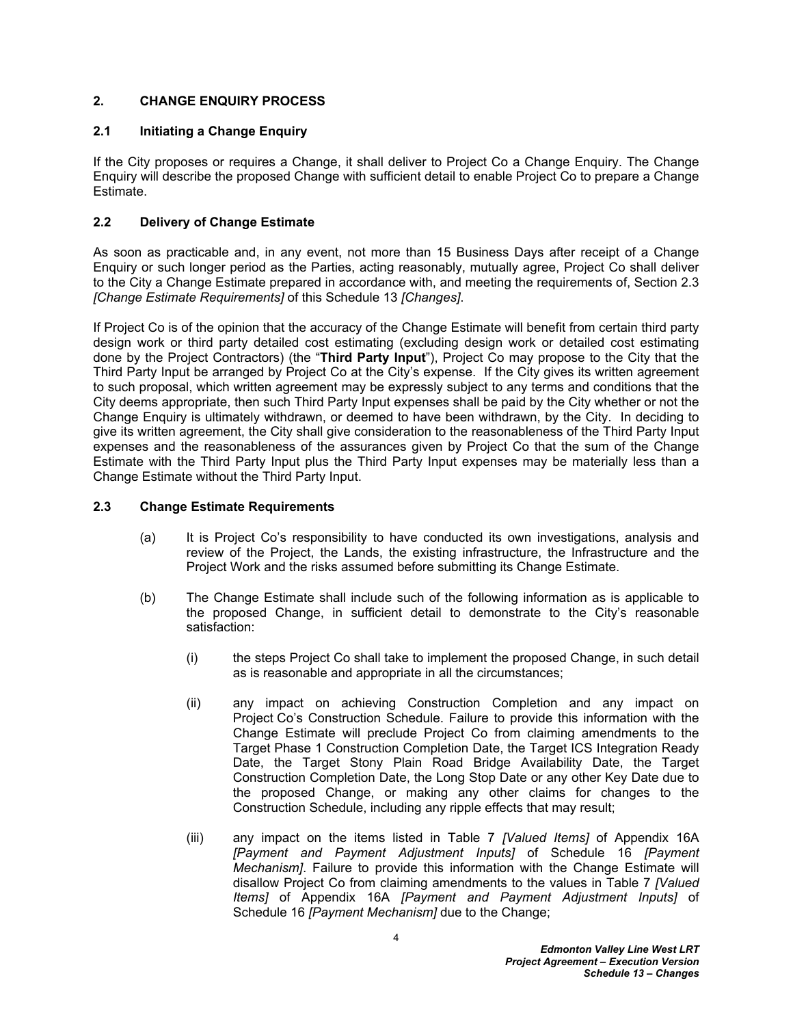# <span id="page-5-0"></span>**2. CHANGE ENQUIRY PROCESS**

### <span id="page-5-1"></span>**2.1 Initiating a Change Enquiry**

If the City proposes or requires a Change, it shall deliver to Project Co a Change Enquiry. The Change Enquiry will describe the proposed Change with sufficient detail to enable Project Co to prepare a Change Estimate.

# <span id="page-5-2"></span>**2.2 Delivery of Change Estimate**

As soon as practicable and, in any event, not more than 15 Business Days after receipt of a Change Enquiry or such longer period as the Parties, acting reasonably, mutually agree, Project Co shall deliver to the City a Change Estimate prepared in accordance with, and meeting the requirements of, Section [2.3](#page-5-3)  *[Change Estimate Requirements]* of this Schedule 13 *[Changes]*.

If Project Co is of the opinion that the accuracy of the Change Estimate will benefit from certain third party design work or third party detailed cost estimating (excluding design work or detailed cost estimating done by the Project Contractors) (the "**Third Party Input**"), Project Co may propose to the City that the Third Party Input be arranged by Project Co at the City's expense. If the City gives its written agreement to such proposal, which written agreement may be expressly subject to any terms and conditions that the City deems appropriate, then such Third Party Input expenses shall be paid by the City whether or not the Change Enquiry is ultimately withdrawn, or deemed to have been withdrawn, by the City. In deciding to give its written agreement, the City shall give consideration to the reasonableness of the Third Party Input expenses and the reasonableness of the assurances given by Project Co that the sum of the Change Estimate with the Third Party Input plus the Third Party Input expenses may be materially less than a Change Estimate without the Third Party Input.

#### <span id="page-5-3"></span>**2.3 Change Estimate Requirements**

- (a) It is Project Co's responsibility to have conducted its own investigations, analysis and review of the Project, the Lands, the existing infrastructure, the Infrastructure and the Project Work and the risks assumed before submitting its Change Estimate.
- <span id="page-5-5"></span><span id="page-5-4"></span>(b) The Change Estimate shall include such of the following information as is applicable to the proposed Change, in sufficient detail to demonstrate to the City's reasonable satisfaction:
	- (i) the steps Project Co shall take to implement the proposed Change, in such detail as is reasonable and appropriate in all the circumstances;
	- (ii) any impact on achieving Construction Completion and any impact on Project Co's Construction Schedule. Failure to provide this information with the Change Estimate will preclude Project Co from claiming amendments to the Target Phase 1 Construction Completion Date, the Target ICS Integration Ready Date, the Target Stony Plain Road Bridge Availability Date, the Target Construction Completion Date, the Long Stop Date or any other Key Date due to the proposed Change, or making any other claims for changes to the Construction Schedule, including any ripple effects that may result;
	- (iii) any impact on the items listed in Table 7 *[Valued Items]* of Appendix 16A *[Payment and Payment Adjustment Inputs]* of Schedule 16 *[Payment Mechanism]*. Failure to provide this information with the Change Estimate will disallow Project Co from claiming amendments to the values in Table 7 *[Valued Items]* of Appendix 16A *[Payment and Payment Adjustment Inputs]* of Schedule 16 *[Payment Mechanism]* due to the Change;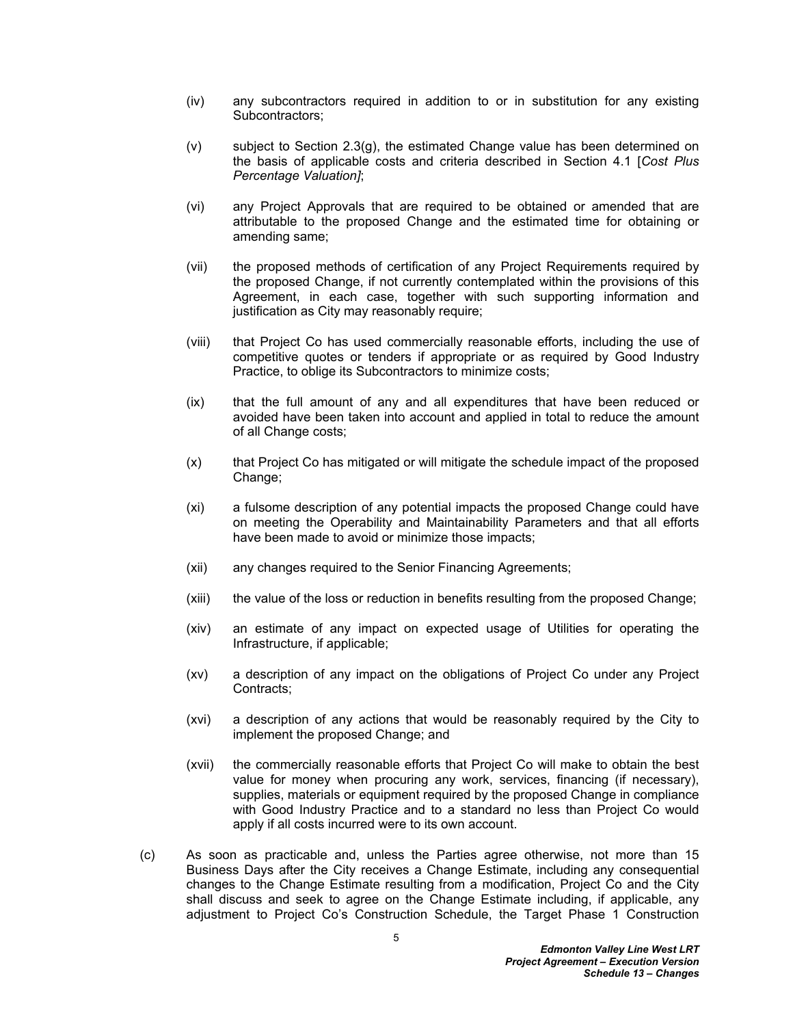- (iv) any subcontractors required in addition to or in substitution for any existing Subcontractors;
- <span id="page-6-1"></span>(v) subject to Section [2.3\(g\),](#page-7-0) the estimated Change value has been determined on the basis of applicable costs and criteria described in Section [4.1](#page-10-1) [*Cost Plus Percentage Valuation]*;
- (vi) any Project Approvals that are required to be obtained or amended that are attributable to the proposed Change and the estimated time for obtaining or amending same;
- (vii) the proposed methods of certification of any Project Requirements required by the proposed Change, if not currently contemplated within the provisions of this Agreement, in each case, together with such supporting information and justification as City may reasonably require;
- (viii) that Project Co has used commercially reasonable efforts, including the use of competitive quotes or tenders if appropriate or as required by Good Industry Practice, to oblige its Subcontractors to minimize costs;
- (ix) that the full amount of any and all expenditures that have been reduced or avoided have been taken into account and applied in total to reduce the amount of all Change costs;
- (x) that Project Co has mitigated or will mitigate the schedule impact of the proposed Change;
- (xi) a fulsome description of any potential impacts the proposed Change could have on meeting the Operability and Maintainability Parameters and that all efforts have been made to avoid or minimize those impacts;
- (xii) any changes required to the Senior Financing Agreements;
- (xiii) the value of the loss or reduction in benefits resulting from the proposed Change;
- (xiv) an estimate of any impact on expected usage of Utilities for operating the Infrastructure, if applicable;
- (xv) a description of any impact on the obligations of Project Co under any Project Contracts;
- (xvi) a description of any actions that would be reasonably required by the City to implement the proposed Change; and
- (xvii) the commercially reasonable efforts that Project Co will make to obtain the best value for money when procuring any work, services, financing (if necessary), supplies, materials or equipment required by the proposed Change in compliance with Good Industry Practice and to a standard no less than Project Co would apply if all costs incurred were to its own account.
- <span id="page-6-0"></span>(c) As soon as practicable and, unless the Parties agree otherwise, not more than 15 Business Days after the City receives a Change Estimate, including any consequential changes to the Change Estimate resulting from a modification, Project Co and the City shall discuss and seek to agree on the Change Estimate including, if applicable, any adjustment to Project Co's Construction Schedule, the Target Phase 1 Construction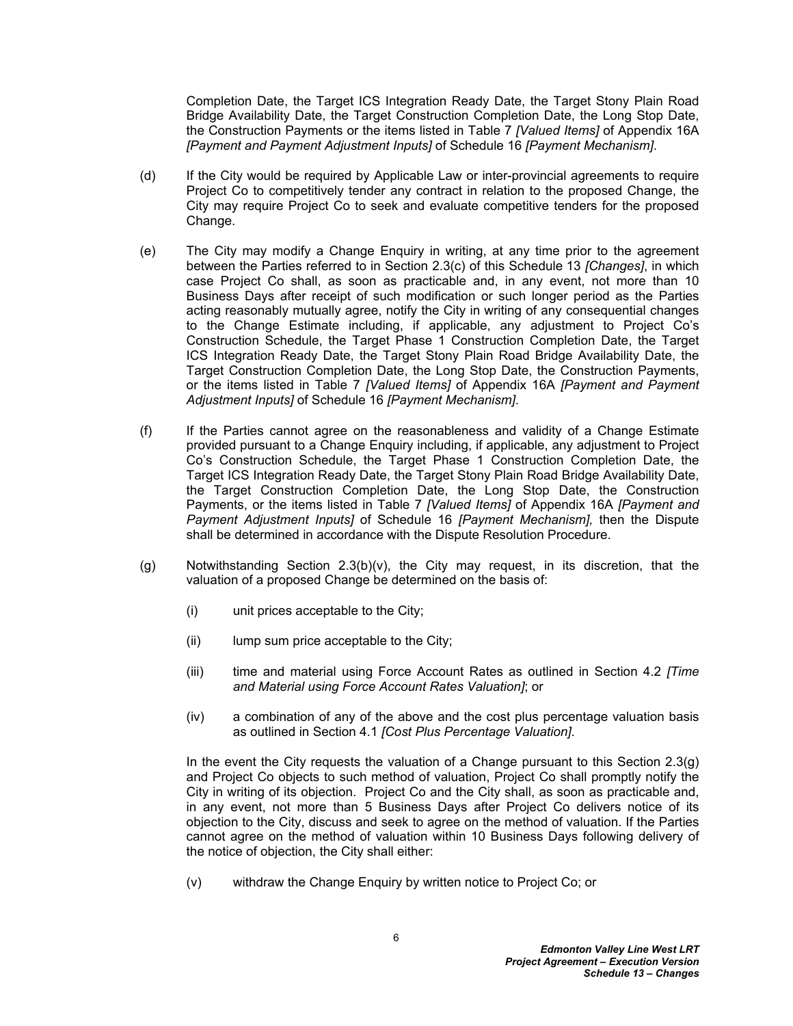Completion Date, the Target ICS Integration Ready Date, the Target Stony Plain Road Bridge Availability Date, the Target Construction Completion Date, the Long Stop Date, the Construction Payments or the items listed in Table 7 *[Valued Items]* of Appendix 16A *[Payment and Payment Adjustment Inputs]* of Schedule 16 *[Payment Mechanism]*.

- (d) If the City would be required by Applicable Law or inter-provincial agreements to require Project Co to competitively tender any contract in relation to the proposed Change, the City may require Project Co to seek and evaluate competitive tenders for the proposed Change.
- (e) The City may modify a Change Enquiry in writing, at any time prior to the agreement between the Parties referred to in Section [2.3\(c\)](#page-6-0) of this Schedule 13 *[Changes]*, in which case Project Co shall, as soon as practicable and, in any event, not more than 10 Business Days after receipt of such modification or such longer period as the Parties acting reasonably mutually agree, notify the City in writing of any consequential changes to the Change Estimate including, if applicable, any adjustment to Project Co's Construction Schedule, the Target Phase 1 Construction Completion Date, the Target ICS Integration Ready Date, the Target Stony Plain Road Bridge Availability Date, the Target Construction Completion Date, the Long Stop Date, the Construction Payments, or the items listed in Table 7 *[Valued Items]* of Appendix 16A *[Payment and Payment Adjustment Inputs]* of Schedule 16 *[Payment Mechanism]*.
- (f) If the Parties cannot agree on the reasonableness and validity of a Change Estimate provided pursuant to a Change Enquiry including, if applicable, any adjustment to Project Co's Construction Schedule, the Target Phase 1 Construction Completion Date, the Target ICS Integration Ready Date, the Target Stony Plain Road Bridge Availability Date, the Target Construction Completion Date, the Long Stop Date, the Construction Payments, or the items listed in Table 7 *[Valued Items]* of Appendix 16A *[Payment and Payment Adjustment Inputs]* of Schedule 16 *[Payment Mechanism],* then the Dispute shall be determined in accordance with the Dispute Resolution Procedure.
- <span id="page-7-0"></span>(g) Notwithstanding Section [2.3\(b\)\(v\)](#page-6-1), the City may request, in its discretion, that the valuation of a proposed Change be determined on the basis of:
	- (i) unit prices acceptable to the City;
	- (ii) lump sum price acceptable to the City;
	- (iii) time and material using Force Account Rates as outlined in Section [4.2](#page-11-0) *[Time and Material using Force Account Rates Valuation]*; or
	- (iv) a combination of any of the above and the cost plus percentage valuation basis as outlined in Section [4.1](#page-10-1) *[Cost Plus Percentage Valuation]*.

In the event the City requests the valuation of a Change pursuant to this Section 2.3(g) and Project Co objects to such method of valuation, Project Co shall promptly notify the City in writing of its objection. Project Co and the City shall, as soon as practicable and, in any event, not more than 5 Business Days after Project Co delivers notice of its objection to the City, discuss and seek to agree on the method of valuation. If the Parties cannot agree on the method of valuation within 10 Business Days following delivery of the notice of objection, the City shall either:

(v) withdraw the Change Enquiry by written notice to Project Co; or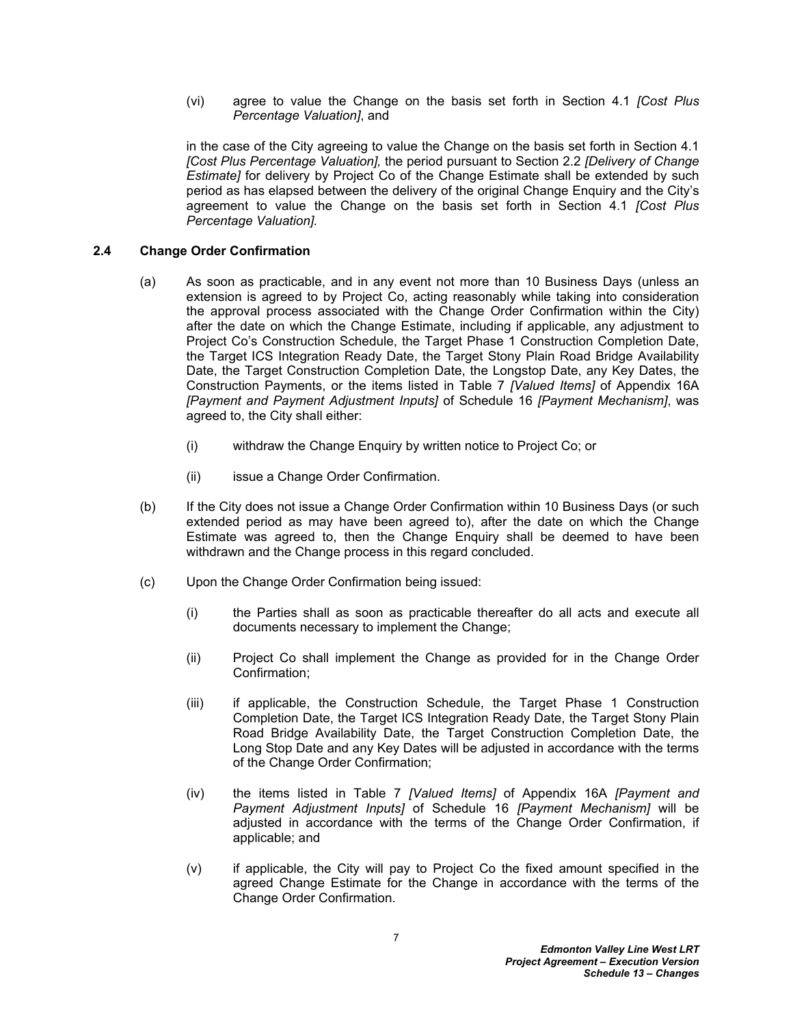(vi) agree to value the Change on the basis set forth in Section [4.1](#page-10-1) *[Cost Plus Percentage Valuation]*, and

in the case of the City agreeing to value the Change on the basis set forth in Section [4.1](#page-10-1)  *[Cost Plus Percentage Valuation],* the period pursuant to Section [2.2](#page-5-2) *[Delivery of Change Estimate]* for delivery by Project Co of the Change Estimate shall be extended by such period as has elapsed between the delivery of the original Change Enquiry and the City's agreement to value the Change on the basis set forth in Section [4.1](#page-10-1) *[Cost Plus Percentage Valuation].*

#### <span id="page-8-0"></span>**2.4 Change Order Confirmation**

- (a) As soon as practicable, and in any event not more than 10 Business Days (unless an extension is agreed to by Project Co, acting reasonably while taking into consideration the approval process associated with the Change Order Confirmation within the City) after the date on which the Change Estimate, including if applicable, any adjustment to Project Co's Construction Schedule, the Target Phase 1 Construction Completion Date, the Target ICS Integration Ready Date, the Target Stony Plain Road Bridge Availability Date, the Target Construction Completion Date, the Longstop Date, any Key Dates, the Construction Payments, or the items listed in Table 7 *[Valued Items]* of Appendix 16A *[Payment and Payment Adjustment Inputs]* of Schedule 16 *[Payment Mechanism]*, was agreed to, the City shall either:
	- (i) withdraw the Change Enquiry by written notice to Project Co; or
	- (ii) issue a Change Order Confirmation.
- (b) If the City does not issue a Change Order Confirmation within 10 Business Days (or such extended period as may have been agreed to), after the date on which the Change Estimate was agreed to, then the Change Enquiry shall be deemed to have been withdrawn and the Change process in this regard concluded.
- (c) Upon the Change Order Confirmation being issued:
	- (i) the Parties shall as soon as practicable thereafter do all acts and execute all documents necessary to implement the Change;
	- (ii) Project Co shall implement the Change as provided for in the Change Order Confirmation;
	- (iii) if applicable, the Construction Schedule, the Target Phase 1 Construction Completion Date, the Target ICS Integration Ready Date, the Target Stony Plain Road Bridge Availability Date, the Target Construction Completion Date, the Long Stop Date and any Key Dates will be adjusted in accordance with the terms of the Change Order Confirmation;
	- (iv) the items listed in Table 7 *[Valued Items]* of Appendix 16A *[Payment and Payment Adjustment Inputs]* of Schedule 16 *[Payment Mechanism]* will be adjusted in accordance with the terms of the Change Order Confirmation, if applicable; and
	- (v) if applicable, the City will pay to Project Co the fixed amount specified in the agreed Change Estimate for the Change in accordance with the terms of the Change Order Confirmation.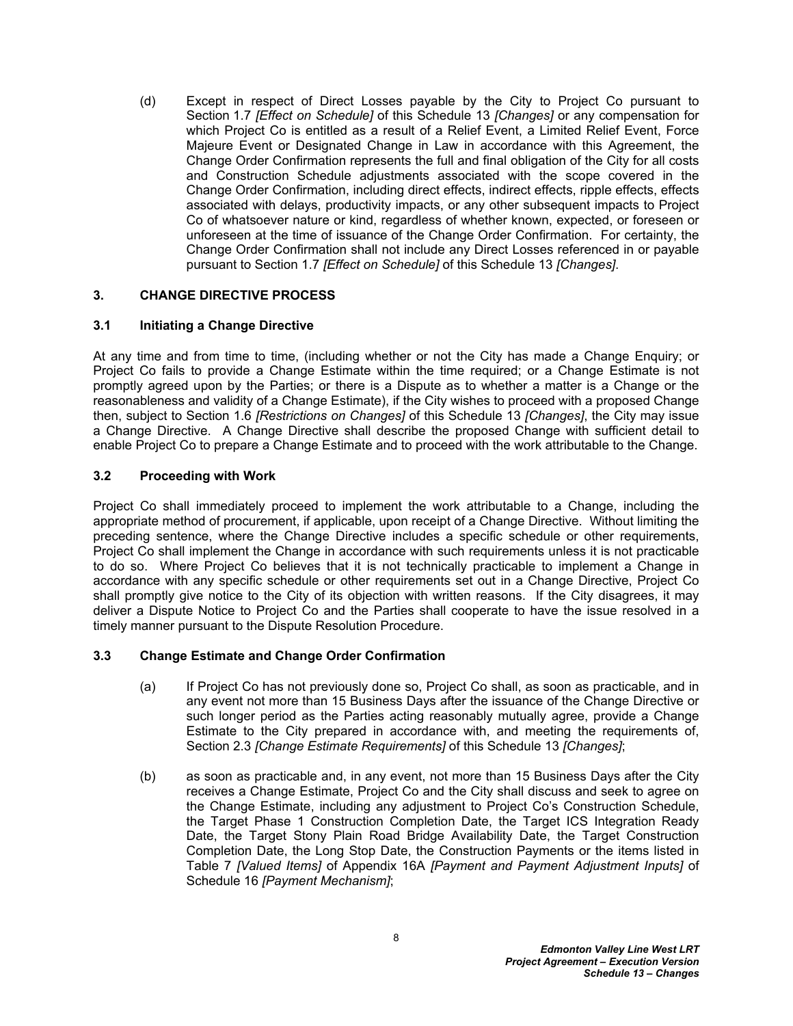(d) Except in respect of Direct Losses payable by the City to Project Co pursuant to Section [1.7](#page-4-0) *[Effect on Schedule]* of this Schedule 13 *[Changes]* or any compensation for which Project Co is entitled as a result of a Relief Event, a Limited Relief Event, Force Majeure Event or Designated Change in Law in accordance with this Agreement, the Change Order Confirmation represents the full and final obligation of the City for all costs and Construction Schedule adjustments associated with the scope covered in the Change Order Confirmation, including direct effects, indirect effects, ripple effects, effects associated with delays, productivity impacts, or any other subsequent impacts to Project Co of whatsoever nature or kind, regardless of whether known, expected, or foreseen or unforeseen at the time of issuance of the Change Order Confirmation. For certainty, the Change Order Confirmation shall not include any Direct Losses referenced in or payable pursuant to Section [1.7](#page-4-0) *[Effect on Schedule]* of this Schedule 13 *[Changes]*.

### <span id="page-9-0"></span>**3. CHANGE DIRECTIVE PROCESS**

### <span id="page-9-1"></span>**3.1 Initiating a Change Directive**

At any time and from time to time, (including whether or not the City has made a Change Enquiry; or Project Co fails to provide a Change Estimate within the time required; or a Change Estimate is not promptly agreed upon by the Parties; or there is a Dispute as to whether a matter is a Change or the reasonableness and validity of a Change Estimate), if the City wishes to proceed with a proposed Change then, subject to Section [1.6](#page-3-1) *[Restrictions on Changes]* of this Schedule 13 *[Changes]*, the City may issue a Change Directive. A Change Directive shall describe the proposed Change with sufficient detail to enable Project Co to prepare a Change Estimate and to proceed with the work attributable to the Change.

### <span id="page-9-2"></span>**3.2 Proceeding with Work**

Project Co shall immediately proceed to implement the work attributable to a Change, including the appropriate method of procurement, if applicable, upon receipt of a Change Directive. Without limiting the preceding sentence, where the Change Directive includes a specific schedule or other requirements, Project Co shall implement the Change in accordance with such requirements unless it is not practicable to do so. Where Project Co believes that it is not technically practicable to implement a Change in accordance with any specific schedule or other requirements set out in a Change Directive, Project Co shall promptly give notice to the City of its objection with written reasons. If the City disagrees, it may deliver a Dispute Notice to Project Co and the Parties shall cooperate to have the issue resolved in a timely manner pursuant to the Dispute Resolution Procedure.

# <span id="page-9-3"></span>**3.3 Change Estimate and Change Order Confirmation**

- (a) If Project Co has not previously done so, Project Co shall, as soon as practicable, and in any event not more than 15 Business Days after the issuance of the Change Directive or such longer period as the Parties acting reasonably mutually agree, provide a Change Estimate to the City prepared in accordance with, and meeting the requirements of, Section [2.3](#page-5-3) *[Change Estimate Requirements]* of this Schedule 13 *[Changes]*;
- (b) as soon as practicable and, in any event, not more than 15 Business Days after the City receives a Change Estimate, Project Co and the City shall discuss and seek to agree on the Change Estimate, including any adjustment to Project Co's Construction Schedule, the Target Phase 1 Construction Completion Date, the Target ICS Integration Ready Date, the Target Stony Plain Road Bridge Availability Date, the Target Construction Completion Date, the Long Stop Date, the Construction Payments or the items listed in Table 7 *[Valued Items]* of Appendix 16A *[Payment and Payment Adjustment Inputs]* of Schedule 16 *[Payment Mechanism]*;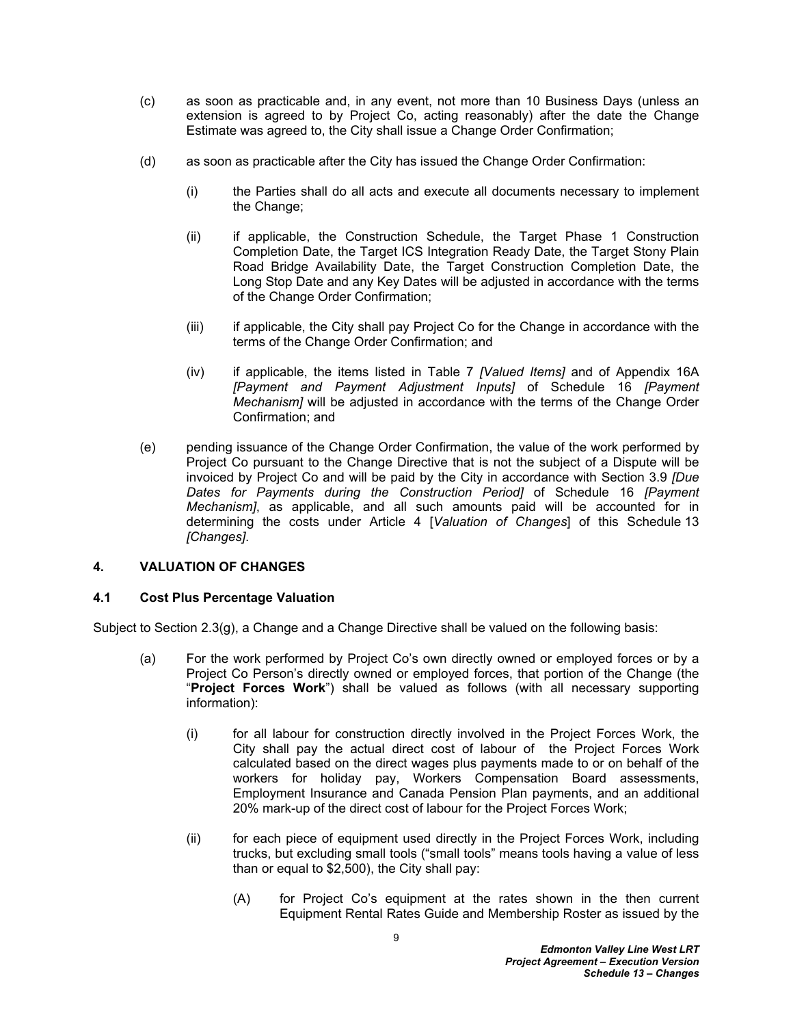- (c) as soon as practicable and, in any event, not more than 10 Business Days (unless an extension is agreed to by Project Co, acting reasonably) after the date the Change Estimate was agreed to, the City shall issue a Change Order Confirmation;
- (d) as soon as practicable after the City has issued the Change Order Confirmation:
	- (i) the Parties shall do all acts and execute all documents necessary to implement the Change;
	- (ii) if applicable, the Construction Schedule, the Target Phase 1 Construction Completion Date, the Target ICS Integration Ready Date, the Target Stony Plain Road Bridge Availability Date, the Target Construction Completion Date, the Long Stop Date and any Key Dates will be adjusted in accordance with the terms of the Change Order Confirmation;
	- (iii) if applicable, the City shall pay Project Co for the Change in accordance with the terms of the Change Order Confirmation; and
	- (iv) if applicable, the items listed in Table 7 *[Valued Items]* and of Appendix 16A *[Payment and Payment Adjustment Inputs]* of Schedule 16 *[Payment Mechanism]* will be adjusted in accordance with the terms of the Change Order Confirmation; and
- (e) pending issuance of the Change Order Confirmation, the value of the work performed by Project Co pursuant to the Change Directive that is not the subject of a Dispute will be invoiced by Project Co and will be paid by the City in accordance with Section 3.9 *[Due Dates for Payments during the Construction Period]* of Schedule 16 *[Payment Mechanism]*, as applicable, and all such amounts paid will be accounted for in determining the costs under Article 4 [*Valuation of Changes*] of this Schedule 13 *[Changes]*.

# <span id="page-10-0"></span>**4. VALUATION OF CHANGES**

# <span id="page-10-1"></span>**4.1 Cost Plus Percentage Valuation**

Subject to Section [2.3\(g\),](#page-7-0) a Change and a Change Directive shall be valued on the following basis:

- <span id="page-10-3"></span><span id="page-10-2"></span>(a) For the work performed by Project Co's own directly owned or employed forces or by a Project Co Person's directly owned or employed forces, that portion of the Change (the "**Project Forces Work**") shall be valued as follows (with all necessary supporting information):
	- (i) for all labour for construction directly involved in the Project Forces Work, the City shall pay the actual direct cost of labour of the Project Forces Work calculated based on the direct wages plus payments made to or on behalf of the workers for holiday pay, Workers Compensation Board assessments, Employment Insurance and Canada Pension Plan payments, and an additional 20% mark-up of the direct cost of labour for the Project Forces Work;
	- (ii) for each piece of equipment used directly in the Project Forces Work, including trucks, but excluding small tools ("small tools" means tools having a value of less than or equal to \$2,500), the City shall pay:
		- (A) for Project Co's equipment at the rates shown in the then current Equipment Rental Rates Guide and Membership Roster as issued by the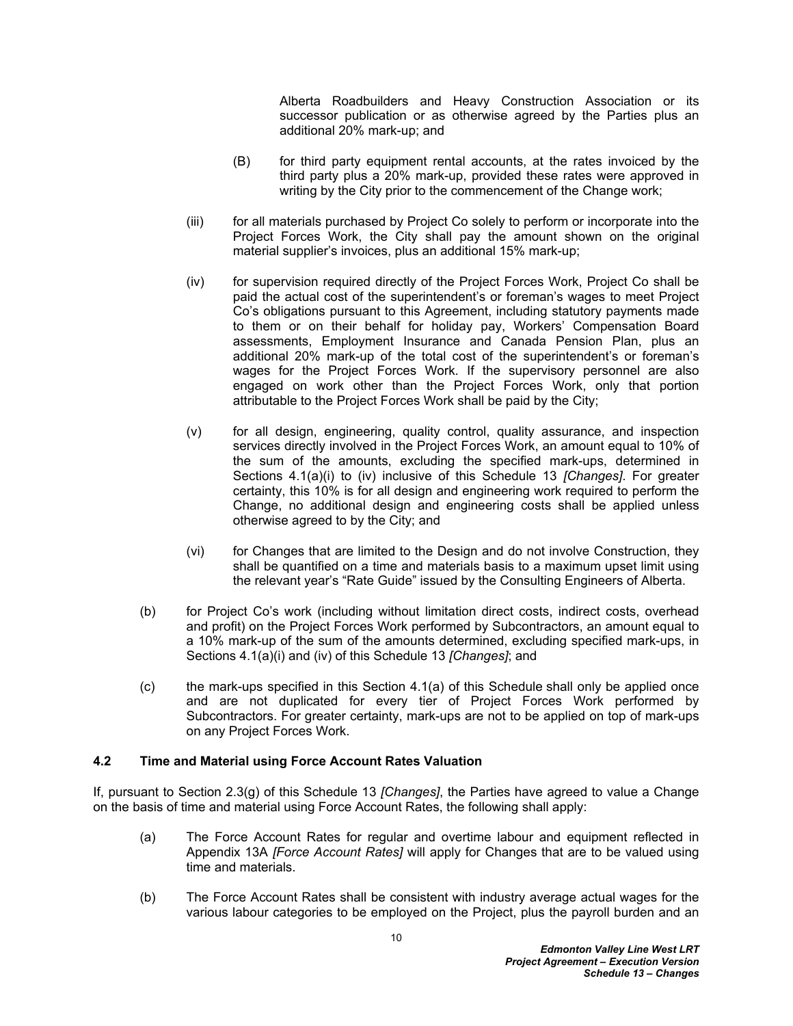Alberta Roadbuilders and Heavy Construction Association or its successor publication or as otherwise agreed by the Parties plus an additional 20% mark-up; and

- (B) for third party equipment rental accounts, at the rates invoiced by the third party plus a 20% mark-up, provided these rates were approved in writing by the City prior to the commencement of the Change work;
- (iii) for all materials purchased by Project Co solely to perform or incorporate into the Project Forces Work, the City shall pay the amount shown on the original material supplier's invoices, plus an additional 15% mark-up;
- <span id="page-11-1"></span>(iv) for supervision required directly of the Project Forces Work, Project Co shall be paid the actual cost of the superintendent's or foreman's wages to meet Project Co's obligations pursuant to this Agreement, including statutory payments made to them or on their behalf for holiday pay, Workers' Compensation Board assessments, Employment Insurance and Canada Pension Plan, plus an additional 20% mark-up of the total cost of the superintendent's or foreman's wages for the Project Forces Work. If the supervisory personnel are also engaged on work other than the Project Forces Work, only that portion attributable to the Project Forces Work shall be paid by the City;
- (v) for all design, engineering, quality control, quality assurance, and inspection services directly involved in the Project Forces Work, an amount equal to 10% of the sum of the amounts, excluding the specified mark-ups, determined in Sections [4.1\(a\)\(i\)](#page-10-2) to [\(iv\)](#page-11-1) inclusive of this Schedule 13 *[Changes]*. For greater certainty, this 10% is for all design and engineering work required to perform the Change, no additional design and engineering costs shall be applied unless otherwise agreed to by the City; and
- (vi) for Changes that are limited to the Design and do not involve Construction, they shall be quantified on a time and materials basis to a maximum upset limit using the relevant year's "Rate Guide" issued by the Consulting Engineers of Alberta.
- (b) for Project Co's work (including without limitation direct costs, indirect costs, overhead and profit) on the Project Forces Work performed by Subcontractors, an amount equal to a 10% mark-up of the sum of the amounts determined, excluding specified mark-ups, in Sections [4.1\(a\)\(i\)](#page-10-2) and [\(iv\)](#page-11-1) of this Schedule 13 *[Changes]*; and
- $(c)$  the mark-ups specified in this Section [4.1\(a\)](#page-10-3) of this Schedule shall only be applied once and are not duplicated for every tier of Project Forces Work performed by Subcontractors. For greater certainty, mark-ups are not to be applied on top of mark-ups on any Project Forces Work.

#### <span id="page-11-0"></span>**4.2 Time and Material using Force Account Rates Valuation**

If, pursuant to Section [2.3\(g\)](#page-7-0) of this Schedule 13 *[Changes]*, the Parties have agreed to value a Change on the basis of time and material using Force Account Rates, the following shall apply:

- (a) The Force Account Rates for regular and overtime labour and equipment reflected in Appendix 13A *[Force Account Rates]* will apply for Changes that are to be valued using time and materials.
- (b) The Force Account Rates shall be consistent with industry average actual wages for the various labour categories to be employed on the Project, plus the payroll burden and an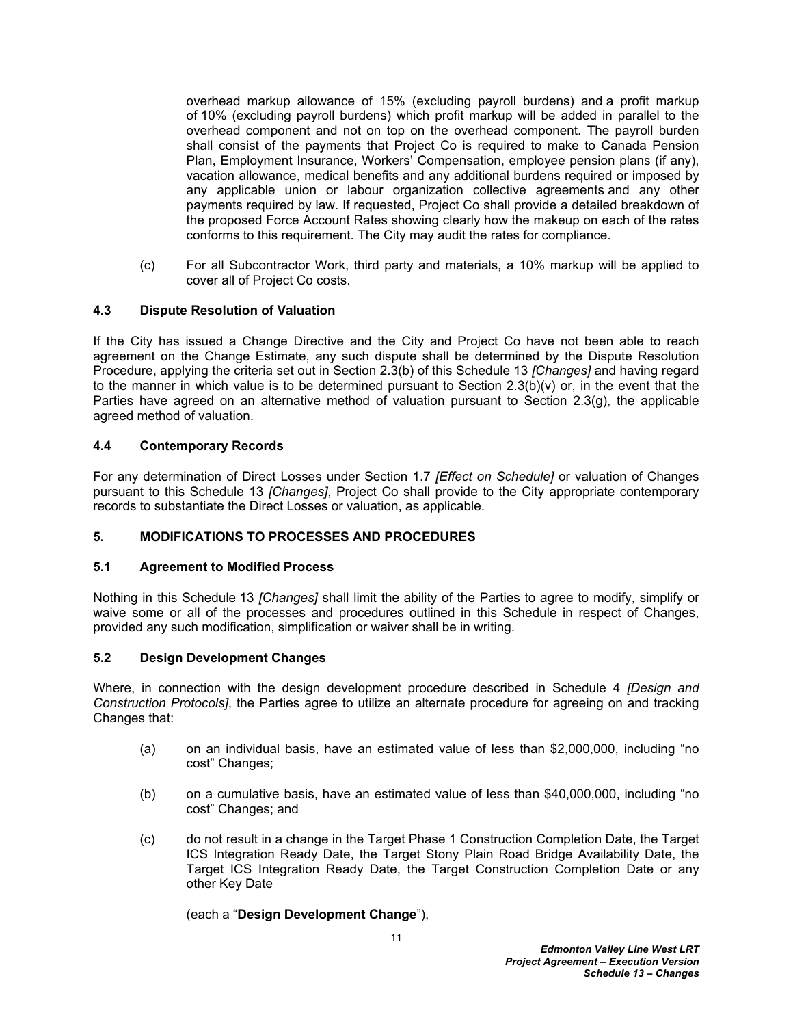overhead markup allowance of 15% (excluding payroll burdens) and a profit markup of 10% (excluding payroll burdens) which profit markup will be added in parallel to the overhead component and not on top on the overhead component. The payroll burden shall consist of the payments that Project Co is required to make to Canada Pension Plan, Employment Insurance, Workers' Compensation, employee pension plans (if any), vacation allowance, medical benefits and any additional burdens required or imposed by any applicable union or labour organization collective agreements and any other payments required by law. If requested, Project Co shall provide a detailed breakdown of the proposed Force Account Rates showing clearly how the makeup on each of the rates conforms to this requirement. The City may audit the rates for compliance.

(c) For all Subcontractor Work, third party and materials, a 10% markup will be applied to cover all of Project Co costs.

### <span id="page-12-0"></span>**4.3 Dispute Resolution of Valuation**

If the City has issued a Change Directive and the City and Project Co have not been able to reach agreement on the Change Estimate, any such dispute shall be determined by the Dispute Resolution Procedure, applying the criteria set out in Section [2.3\(b\)](#page-5-5) of this Schedule 13 *[Changes]* and having regard to the manner in which value is to be determined pursuant to Section  $2.3(b)(v)$  or, in the event that the Parties have agreed on an alternative method of valuation pursuant to Section [2.3\(g\),](#page-7-0) the applicable agreed method of valuation.

### <span id="page-12-1"></span>**4.4 Contemporary Records**

For any determination of Direct Losses under Section [1.7](#page-4-0) *[Effect on Schedule]* or valuation of Changes pursuant to this Schedule 13 *[Changes]*, Project Co shall provide to the City appropriate contemporary records to substantiate the Direct Losses or valuation, as applicable.

#### <span id="page-12-2"></span>**5. MODIFICATIONS TO PROCESSES AND PROCEDURES**

#### <span id="page-12-3"></span>**5.1 Agreement to Modified Process**

Nothing in this Schedule 13 *[Changes]* shall limit the ability of the Parties to agree to modify, simplify or waive some or all of the processes and procedures outlined in this Schedule in respect of Changes, provided any such modification, simplification or waiver shall be in writing.

#### <span id="page-12-4"></span>**5.2 Design Development Changes**

Where, in connection with the design development procedure described in Schedule 4 *[Design and Construction Protocols]*, the Parties agree to utilize an alternate procedure for agreeing on and tracking Changes that:

- (a) on an individual basis, have an estimated value of less than \$2,000,000, including "no cost" Changes;
- (b) on a cumulative basis, have an estimated value of less than \$40,000,000, including "no cost" Changes; and
- (c) do not result in a change in the Target Phase 1 Construction Completion Date, the Target ICS Integration Ready Date, the Target Stony Plain Road Bridge Availability Date, the Target ICS Integration Ready Date, the Target Construction Completion Date or any other Key Date

#### (each a "**Design Development Change**"),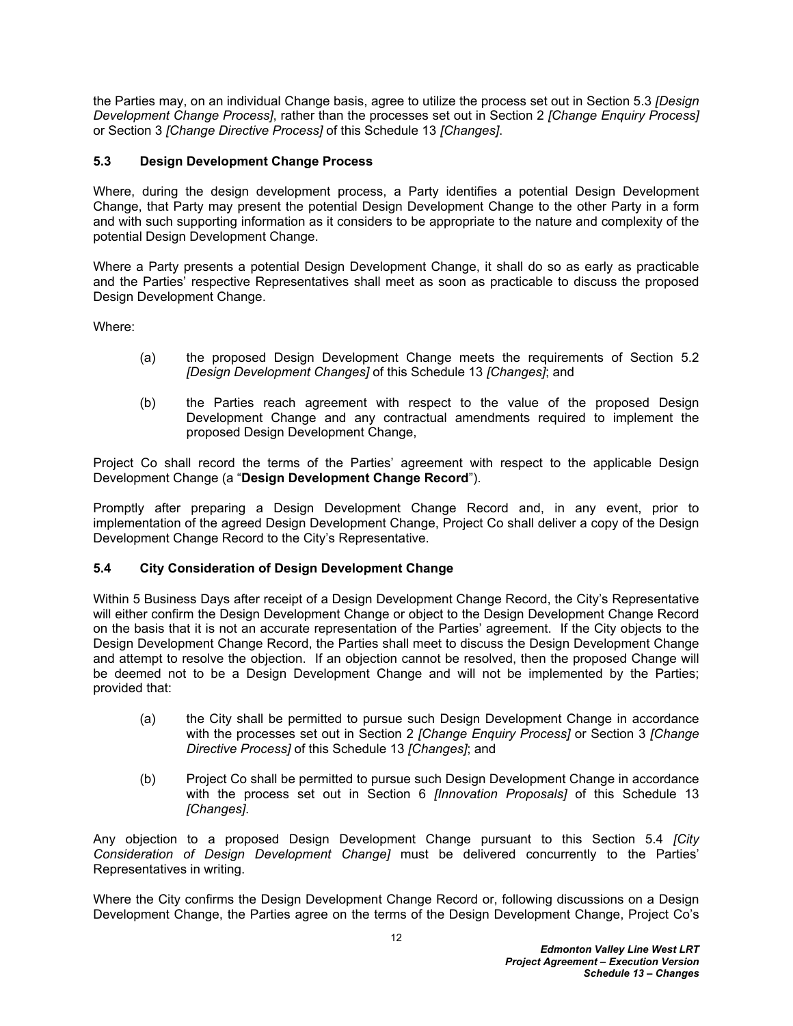the Parties may, on an individual Change basis, agree to utilize the process set out in Section [5.3](#page-13-0) *[Design Development Change Process]*, rather than the processes set out in Section [2](#page-5-0) *[Change Enquiry Process]*  or Section [3](#page-9-0) *[Change Directive Process]* of this Schedule 13 *[Changes]*.

# <span id="page-13-0"></span>**5.3 Design Development Change Process**

Where, during the design development process, a Party identifies a potential Design Development Change, that Party may present the potential Design Development Change to the other Party in a form and with such supporting information as it considers to be appropriate to the nature and complexity of the potential Design Development Change.

Where a Party presents a potential Design Development Change, it shall do so as early as practicable and the Parties' respective Representatives shall meet as soon as practicable to discuss the proposed Design Development Change.

Where:

- (a) the proposed Design Development Change meets the requirements of Section [5.2](#page-12-4)  *[Design Development Changes]* of this Schedule 13 *[Changes]*; and
- (b) the Parties reach agreement with respect to the value of the proposed Design Development Change and any contractual amendments required to implement the proposed Design Development Change,

Project Co shall record the terms of the Parties' agreement with respect to the applicable Design Development Change (a "**Design Development Change Record**").

Promptly after preparing a Design Development Change Record and, in any event, prior to implementation of the agreed Design Development Change, Project Co shall deliver a copy of the Design Development Change Record to the City's Representative.

# <span id="page-13-1"></span>**5.4 City Consideration of Design Development Change**

Within 5 Business Days after receipt of a Design Development Change Record, the City's Representative will either confirm the Design Development Change or object to the Design Development Change Record on the basis that it is not an accurate representation of the Parties' agreement. If the City objects to the Design Development Change Record, the Parties shall meet to discuss the Design Development Change and attempt to resolve the objection. If an objection cannot be resolved, then the proposed Change will be deemed not to be a Design Development Change and will not be implemented by the Parties; provided that:

- (a) the City shall be permitted to pursue such Design Development Change in accordance with the processes set out in Section [2](#page-5-0) *[Change Enquiry Process]* or Section [3](#page-9-0) *[Change Directive Process]* of this Schedule 13 *[Changes]*; and
- (b) Project Co shall be permitted to pursue such Design Development Change in accordance with the process set out in Section [6](#page-14-5) *[Innovation Proposals]* of this Schedule 13 *[Changes]*.

Any objection to a proposed Design Development Change pursuant to this Section [5.4](#page-13-1) *[City Consideration of Design Development Change]* must be delivered concurrently to the Parties' Representatives in writing.

Where the City confirms the Design Development Change Record or, following discussions on a Design Development Change, the Parties agree on the terms of the Design Development Change, Project Co's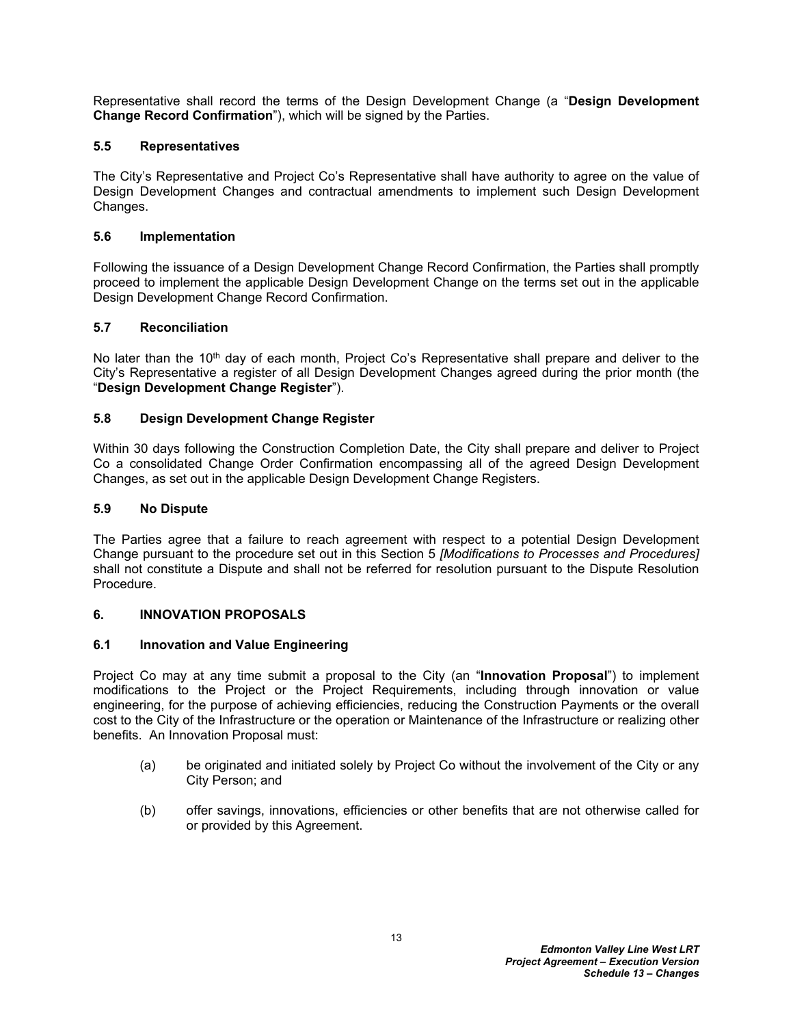Representative shall record the terms of the Design Development Change (a "**Design Development Change Record Confirmation**"), which will be signed by the Parties.

# <span id="page-14-0"></span>**5.5 Representatives**

The City's Representative and Project Co's Representative shall have authority to agree on the value of Design Development Changes and contractual amendments to implement such Design Development Changes.

# <span id="page-14-1"></span>**5.6 Implementation**

Following the issuance of a Design Development Change Record Confirmation, the Parties shall promptly proceed to implement the applicable Design Development Change on the terms set out in the applicable Design Development Change Record Confirmation.

# <span id="page-14-2"></span>**5.7 Reconciliation**

No later than the 10<sup>th</sup> day of each month, Project Co's Representative shall prepare and deliver to the City's Representative a register of all Design Development Changes agreed during the prior month (the "**Design Development Change Register**").

# <span id="page-14-3"></span>**5.8 Design Development Change Register**

Within 30 days following the Construction Completion Date, the City shall prepare and deliver to Project Co a consolidated Change Order Confirmation encompassing all of the agreed Design Development Changes, as set out in the applicable Design Development Change Registers.

### <span id="page-14-4"></span>**5.9 No Dispute**

The Parties agree that a failure to reach agreement with respect to a potential Design Development Change pursuant to the procedure set out in this Section [5](#page-12-2) *[Modifications to Processes and Procedures]*  shall not constitute a Dispute and shall not be referred for resolution pursuant to the Dispute Resolution Procedure.

# <span id="page-14-5"></span>**6. INNOVATION PROPOSALS**

# <span id="page-14-6"></span>**6.1 Innovation and Value Engineering**

Project Co may at any time submit a proposal to the City (an "**Innovation Proposal**") to implement modifications to the Project or the Project Requirements, including through innovation or value engineering, for the purpose of achieving efficiencies, reducing the Construction Payments or the overall cost to the City of the Infrastructure or the operation or Maintenance of the Infrastructure or realizing other benefits. An Innovation Proposal must:

- (a) be originated and initiated solely by Project Co without the involvement of the City or any City Person; and
- (b) offer savings, innovations, efficiencies or other benefits that are not otherwise called for or provided by this Agreement.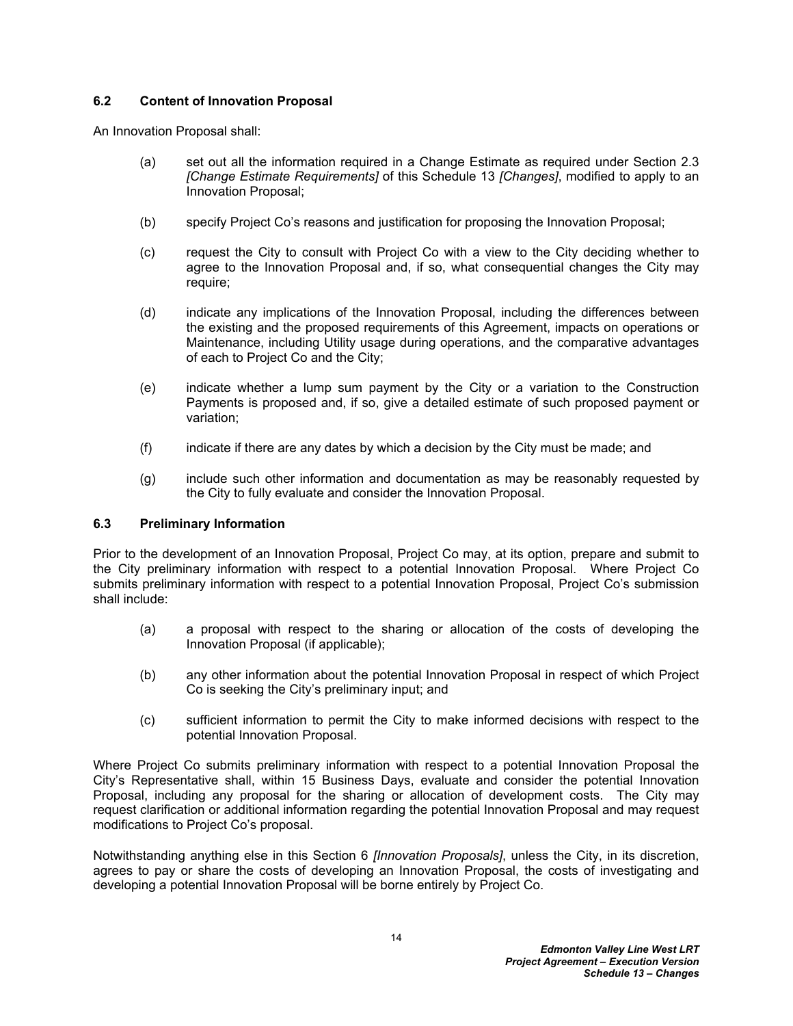### <span id="page-15-0"></span>**6.2 Content of Innovation Proposal**

An Innovation Proposal shall:

- (a) set out all the information required in a Change Estimate as required under Section [2.3](#page-5-3)  *[Change Estimate Requirements]* of this Schedule 13 *[Changes]*, modified to apply to an Innovation Proposal;
- (b) specify Project Co's reasons and justification for proposing the Innovation Proposal;
- (c) request the City to consult with Project Co with a view to the City deciding whether to agree to the Innovation Proposal and, if so, what consequential changes the City may require;
- (d) indicate any implications of the Innovation Proposal, including the differences between the existing and the proposed requirements of this Agreement, impacts on operations or Maintenance, including Utility usage during operations, and the comparative advantages of each to Project Co and the City;
- (e) indicate whether a lump sum payment by the City or a variation to the Construction Payments is proposed and, if so, give a detailed estimate of such proposed payment or variation;
- (f) indicate if there are any dates by which a decision by the City must be made; and
- (g) include such other information and documentation as may be reasonably requested by the City to fully evaluate and consider the Innovation Proposal.

#### <span id="page-15-1"></span>**6.3 Preliminary Information**

Prior to the development of an Innovation Proposal, Project Co may, at its option, prepare and submit to the City preliminary information with respect to a potential Innovation Proposal. Where Project Co submits preliminary information with respect to a potential Innovation Proposal, Project Co's submission shall include:

- (a) a proposal with respect to the sharing or allocation of the costs of developing the Innovation Proposal (if applicable);
- (b) any other information about the potential Innovation Proposal in respect of which Project Co is seeking the City's preliminary input; and
- (c) sufficient information to permit the City to make informed decisions with respect to the potential Innovation Proposal.

Where Project Co submits preliminary information with respect to a potential Innovation Proposal the City's Representative shall, within 15 Business Days, evaluate and consider the potential Innovation Proposal, including any proposal for the sharing or allocation of development costs. The City may request clarification or additional information regarding the potential Innovation Proposal and may request modifications to Project Co's proposal.

Notwithstanding anything else in this Section [6](#page-14-5) *[Innovation Proposals]*, unless the City, in its discretion, agrees to pay or share the costs of developing an Innovation Proposal, the costs of investigating and developing a potential Innovation Proposal will be borne entirely by Project Co.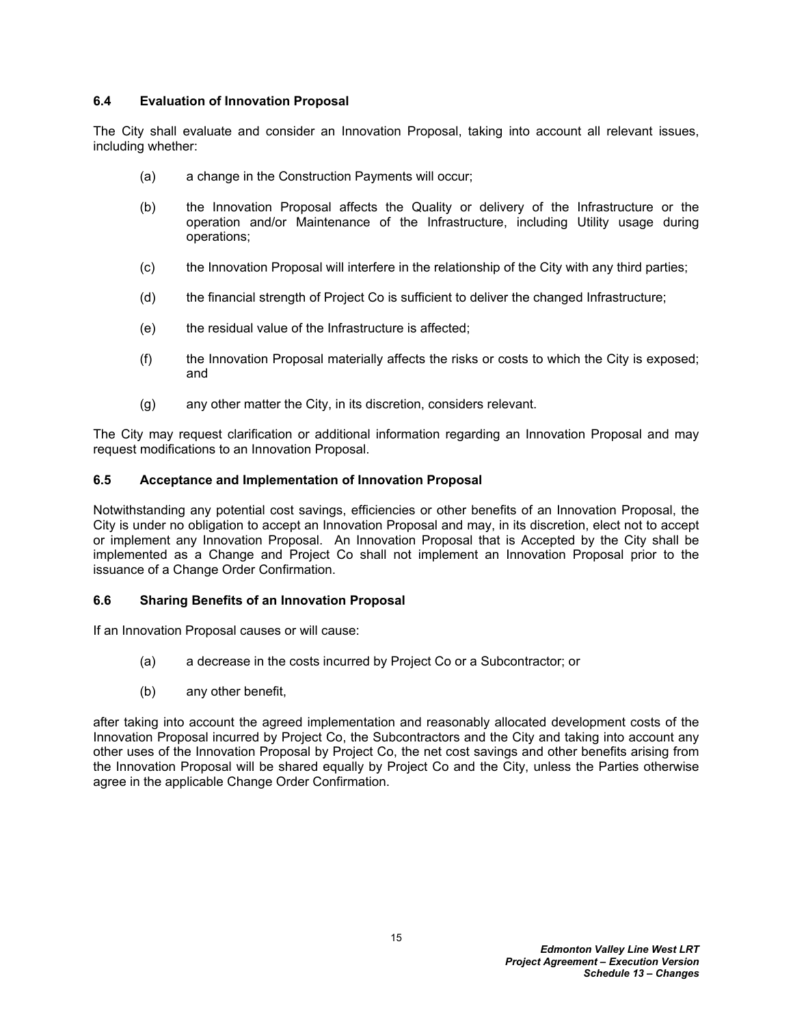### <span id="page-16-0"></span>**6.4 Evaluation of Innovation Proposal**

The City shall evaluate and consider an Innovation Proposal, taking into account all relevant issues, including whether:

- (a) a change in the Construction Payments will occur;
- (b) the Innovation Proposal affects the Quality or delivery of the Infrastructure or the operation and/or Maintenance of the Infrastructure, including Utility usage during operations;
- (c) the Innovation Proposal will interfere in the relationship of the City with any third parties;
- (d) the financial strength of Project Co is sufficient to deliver the changed Infrastructure;
- (e) the residual value of the Infrastructure is affected;
- (f) the Innovation Proposal materially affects the risks or costs to which the City is exposed; and
- (g) any other matter the City, in its discretion, considers relevant.

The City may request clarification or additional information regarding an Innovation Proposal and may request modifications to an Innovation Proposal.

### <span id="page-16-1"></span>**6.5 Acceptance and Implementation of Innovation Proposal**

Notwithstanding any potential cost savings, efficiencies or other benefits of an Innovation Proposal, the City is under no obligation to accept an Innovation Proposal and may, in its discretion, elect not to accept or implement any Innovation Proposal. An Innovation Proposal that is Accepted by the City shall be implemented as a Change and Project Co shall not implement an Innovation Proposal prior to the issuance of a Change Order Confirmation.

#### <span id="page-16-2"></span>**6.6 Sharing Benefits of an Innovation Proposal**

If an Innovation Proposal causes or will cause:

- (a) a decrease in the costs incurred by Project Co or a Subcontractor; or
- (b) any other benefit,

after taking into account the agreed implementation and reasonably allocated development costs of the Innovation Proposal incurred by Project Co, the Subcontractors and the City and taking into account any other uses of the Innovation Proposal by Project Co, the net cost savings and other benefits arising from the Innovation Proposal will be shared equally by Project Co and the City, unless the Parties otherwise agree in the applicable Change Order Confirmation.